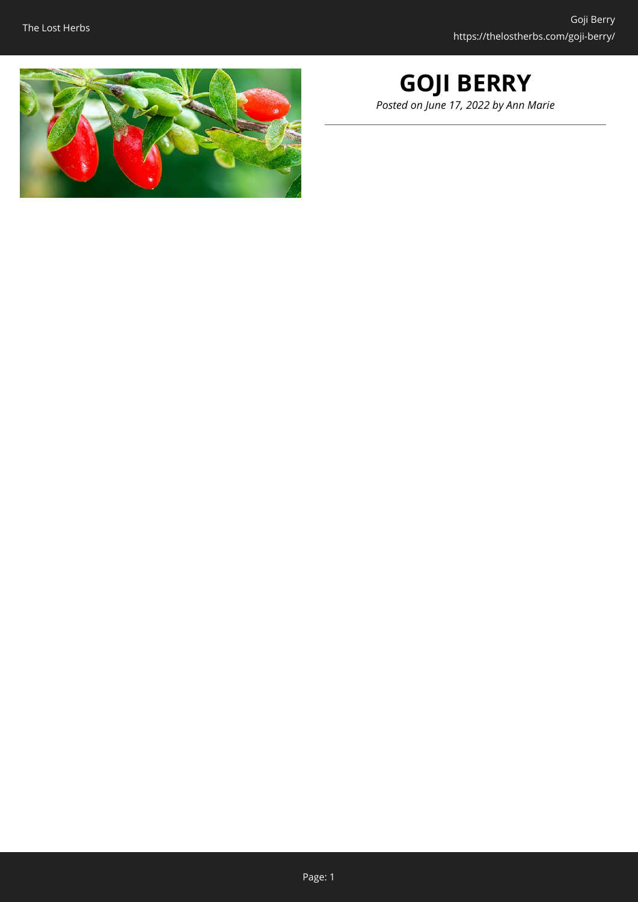

### **GOJI BERRY** *Posted on June 17, 2022 by Ann Marie*

Page: 1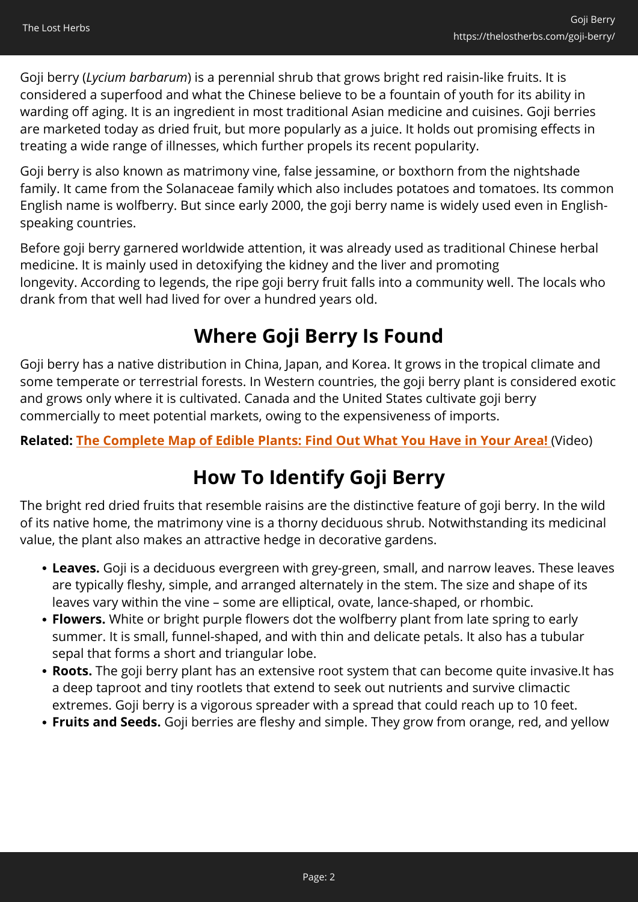Goji berry (*Lycium barbarum*) is a perennial shrub that grows bright red raisin-like fruits. It is considered a superfood and what the Chinese believe to be a fountain of youth for its ability in warding off aging. It is an ingredient in most traditional Asian medicine and cuisines. Goji berries are marketed today as dried fruit, but more popularly as a juice. It holds out promising effects in treating a wide range of illnesses, which further propels its recent popularity.

Goji berry is also known as matrimony vine, false jessamine, or boxthorn from the nightshade family. It came from the Solanaceae family which also includes potatoes and tomatoes. Its common English name is wolfberry. But since early 2000, the goji berry name is widely used even in Englishspeaking countries.

Before goji berry garnered worldwide attention, it was already used as traditional Chinese herbal medicine. It is mainly used in detoxifying the kidney and the liver and promoting longevity. According to legends, the ripe goji berry fruit falls into a community well. The locals who drank from that well had lived for over a hundred years old.

## **Where Goji Berry Is Found**

Goji berry has a native distribution in China, Japan, and Korea. It grows in the tropical climate and some temperate or terrestrial forests. In Western countries, the goji berry plant is considered exotic and grows only where it is cultivated. Canada and the United States cultivate goji berry commercially to meet potential markets, owing to the expensiveness of imports.

#### **Related: [The Complete Map of Edible Plants: Find Out What You Have in Your Area!](https://hop.clickbank.net/?affiliate=easycellar&vendor=wfguide&tid=C02BlackCohoshFGW1)** (Video)

## **How To Identify Goji Berry**

The bright red dried fruits that resemble raisins are the distinctive feature of goji berry. In the wild of its native home, the matrimony vine is a thorny deciduous shrub. Notwithstanding its medicinal value, the plant also makes an attractive hedge in decorative gardens.

- **Leaves.** Goji is a deciduous evergreen with grey-green, small, and narrow leaves. These leaves are typically fleshy, simple, and arranged alternately in the stem. The size and shape of its leaves vary within the vine – some are elliptical, ovate, lance-shaped, or rhombic.
- **Flowers.** White or bright purple flowers dot the wolfberry plant from late spring to early summer. It is small, funnel-shaped, and with thin and delicate petals. It also has a tubular sepal that forms a short and triangular lobe.
- **Roots.** The goji berry plant has an extensive root system that can become quite invasive.It has a deep taproot and tiny rootlets that extend to seek out nutrients and survive climactic extremes. Goji berry is a vigorous spreader with a spread that could reach up to 10 feet.
- **Fruits and Seeds.** Goji berries are fleshy and simple. They grow from orange, red, and yellow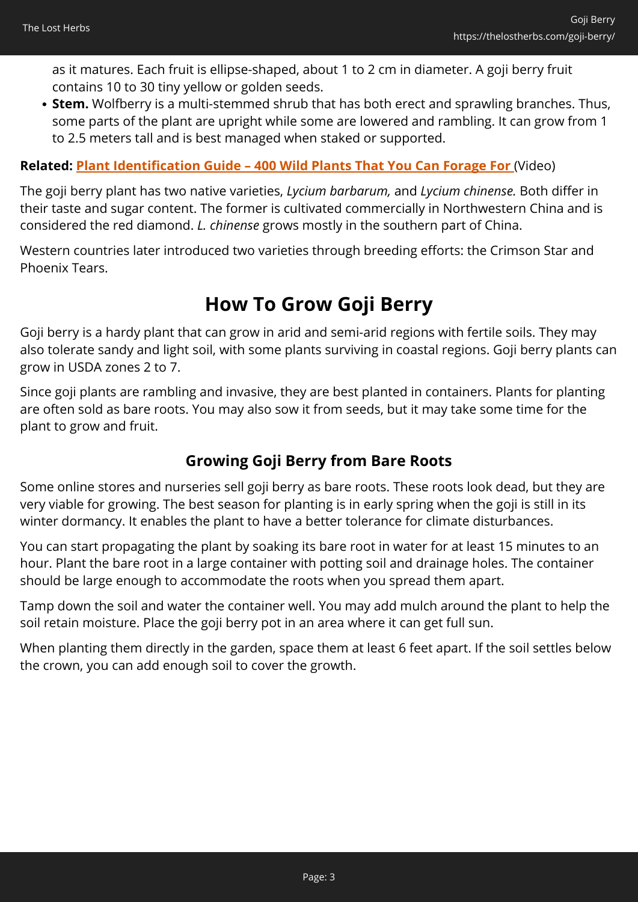as it matures. Each fruit is ellipse-shaped, about 1 to 2 cm in diameter. A goji berry fruit contains 10 to 30 tiny yellow or golden seeds.

**Stem.** Wolfberry is a multi-stemmed shrub that has both erect and sprawling branches. Thus, some parts of the plant are upright while some are lowered and rambling. It can grow from 1 to 2.5 meters tall and is best managed when staked or supported.

#### **Related: [Plant Identification Guide – 400 Wild Plants That You Can Forage For](https://hop.clickbank.net/?affiliate=easycellar&vendor=wfguide&tid=C02GojiBerryFGW2)** (Video)

The goji berry plant has two native varieties, *Lycium barbarum,* and *Lycium chinense.* Both differ in their taste and sugar content. The former is cultivated commercially in Northwestern China and is considered the red diamond. *L. chinense* grows mostly in the southern part of China.

Western countries later introduced two varieties through breeding efforts: the Crimson Star and Phoenix Tears.

#### **How To Grow Goji Berry**

Goji berry is a hardy plant that can grow in arid and semi-arid regions with fertile soils. They may also tolerate sandy and light soil, with some plants surviving in coastal regions. Goji berry plants can grow in USDA zones 2 to 7.

Since goji plants are rambling and invasive, they are best planted in containers. Plants for planting are often sold as bare roots. You may also sow it from seeds, but it may take some time for the plant to grow and fruit.

#### **Growing Goji Berry from Bare Roots**

Some online stores and nurseries sell goji berry as bare roots. These roots look dead, but they are very viable for growing. The best season for planting is in early spring when the goji is still in its winter dormancy. It enables the plant to have a better tolerance for climate disturbances.

You can start propagating the plant by soaking its bare root in water for at least 15 minutes to an hour. Plant the bare root in a large container with potting soil and drainage holes. The container should be large enough to accommodate the roots when you spread them apart.

Tamp down the soil and water the container well. You may add mulch around the plant to help the soil retain moisture. Place the goji berry pot in an area where it can get full sun.

When planting them directly in the garden, space them at least 6 feet apart. If the soil settles below the crown, you can add enough soil to cover the growth.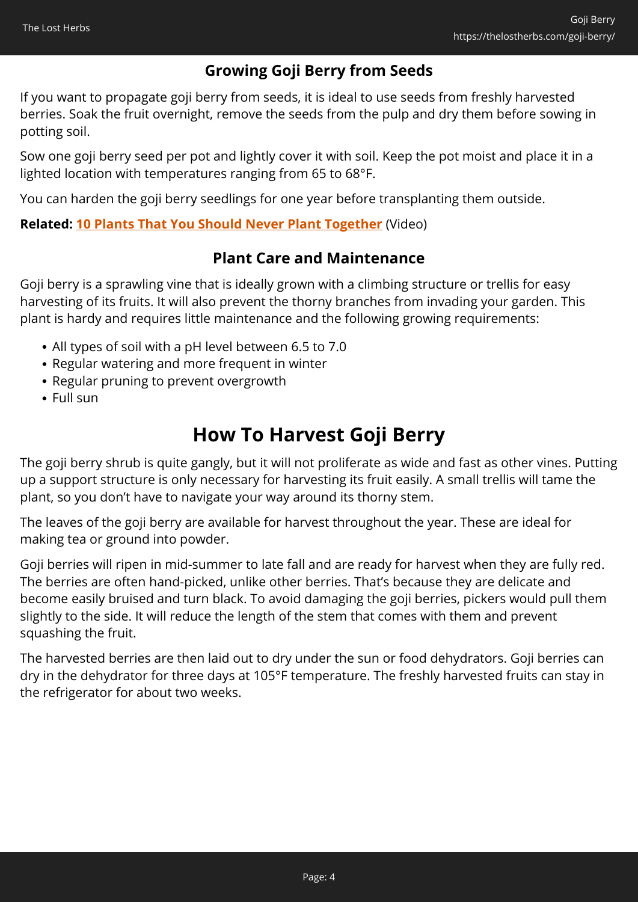#### **Growing Goji Berry from Seeds**

If you want to propagate goji berry from seeds, it is ideal to use seeds from freshly harvested berries. Soak the fruit overnight, remove the seeds from the pulp and dry them before sowing in potting soil.

Sow one goji berry seed per pot and lightly cover it with soil. Keep the pot moist and place it in a lighted location with temperatures ranging from 65 to 68°F.

You can harden the goji berry seedlings for one year before transplanting them outside.

#### **Related: [10 Plants That You Should Never Plant Together](https://hop.clickbank.net/?affiliate=easycellar&vendor=sbackyard&tid=C02GojiBerrySSB)** (Video)

#### **Plant Care and Maintenance**

Goji berry is a sprawling vine that is ideally grown with a climbing structure or trellis for easy harvesting of its fruits. It will also prevent the thorny branches from invading your garden. This plant is hardy and requires little maintenance and the following growing requirements:

- All types of soil with a pH level between 6.5 to 7.0
- Regular watering and more frequent in winter
- Regular pruning to prevent overgrowth
- Full sun

## **How To Harvest Goji Berry**

The goji berry shrub is quite gangly, but it will not proliferate as wide and fast as other vines. Putting up a support structure is only necessary for harvesting its fruit easily. A small trellis will tame the plant, so you don't have to navigate your way around its thorny stem.

The leaves of the goji berry are available for harvest throughout the year. These are ideal for making tea or ground into powder.

Goji berries will ripen in mid-summer to late fall and are ready for harvest when they are fully red. The berries are often hand-picked, unlike other berries. That's because they are delicate and become easily bruised and turn black. To avoid damaging the goji berries, pickers would pull them slightly to the side. It will reduce the length of the stem that comes with them and prevent squashing the fruit.

The harvested berries are then laid out to dry under the sun or food dehydrators. Goji berries can dry in the dehydrator for three days at 105°F temperature. The freshly harvested fruits can stay in the refrigerator for about two weeks.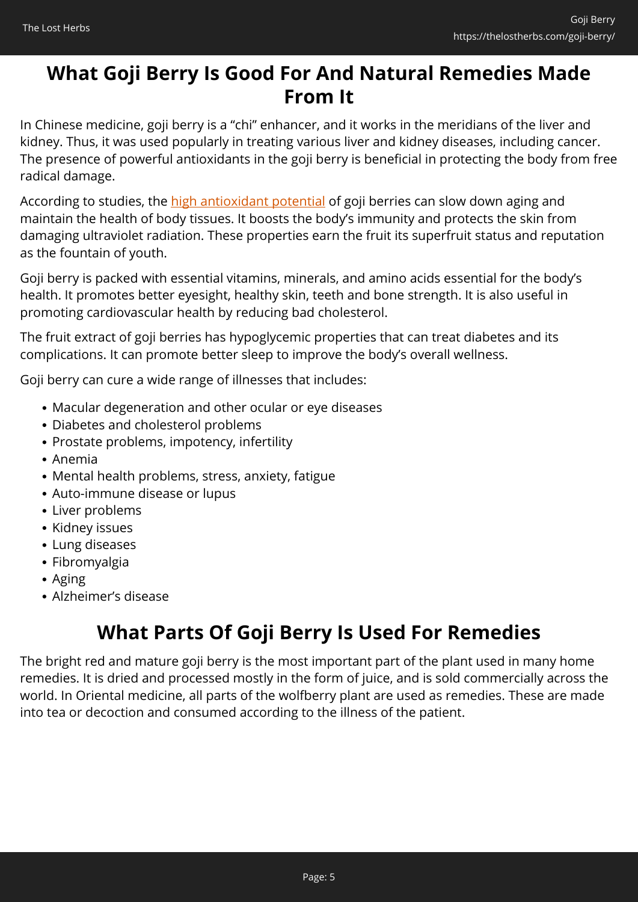### **What Goji Berry Is Good For And Natural Remedies Made From It**

In Chinese medicine, goji berry is a "chi" enhancer, and it works in the meridians of the liver and kidney. Thus, it was used popularly in treating various liver and kidney diseases, including cancer. The presence of powerful antioxidants in the goji berry is beneficial in protecting the body from free radical damage.

According to studies, the [high antioxidant potential](https://www.ncbi.nlm.nih.gov/pmc/articles/PMC6343173/) of goji berries can slow down aging and maintain the health of body tissues. It boosts the body's immunity and protects the skin from damaging ultraviolet radiation. These properties earn the fruit its superfruit status and reputation as the fountain of youth.

Goji berry is packed with essential vitamins, minerals, and amino acids essential for the body's health. It promotes better eyesight, healthy skin, teeth and bone strength. It is also useful in promoting cardiovascular health by reducing bad cholesterol.

The fruit extract of goji berries has hypoglycemic properties that can treat diabetes and its complications. It can promote better sleep to improve the body's overall wellness.

Goji berry can cure a wide range of illnesses that includes:

- Macular degeneration and other ocular or eye diseases
- Diabetes and cholesterol problems
- Prostate problems, impotency, infertility
- Anemia
- Mental health problems, stress, anxiety, fatigue
- Auto-immune disease or lupus
- Liver problems
- Kidney issues
- Lung diseases
- Fibromyalgia
- Aging
- Alzheimer's disease

## **What Parts Of Goji Berry Is Used For Remedies**

The bright red and mature goji berry is the most important part of the plant used in many home remedies. It is dried and processed mostly in the form of juice, and is sold commercially across the world. In Oriental medicine, all parts of the wolfberry plant are used as remedies. These are made into tea or decoction and consumed according to the illness of the patient.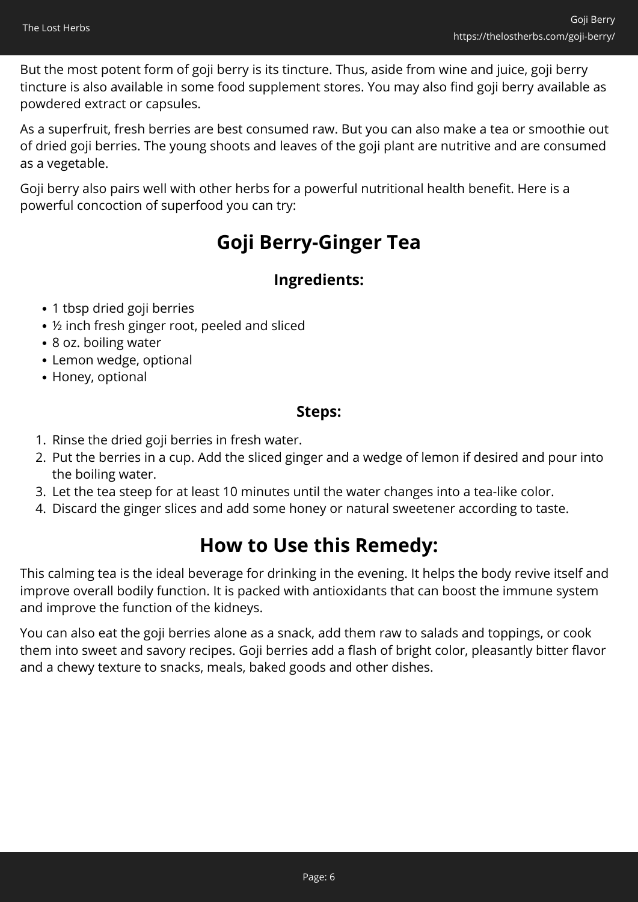But the most potent form of goji berry is its tincture. Thus, aside from wine and juice, goji berry tincture is also available in some food supplement stores. You may also find goji berry available as powdered extract or capsules.

As a superfruit, fresh berries are best consumed raw. But you can also make a tea or smoothie out of dried goji berries. The young shoots and leaves of the goji plant are nutritive and are consumed as a vegetable.

Goji berry also pairs well with other herbs for a powerful nutritional health benefit. Here is a powerful concoction of superfood you can try:

## **Goji Berry-Ginger Tea**

#### **Ingredients:**

- 1 tbsp dried goji berries
- ½ inch fresh ginger root, peeled and sliced
- 8 oz. boiling water
- Lemon wedge, optional
- Honey, optional

#### **Steps:**

- 1. Rinse the dried goji berries in fresh water.
- 2. Put the berries in a cup. Add the sliced ginger and a wedge of lemon if desired and pour into the boiling water.
- 3. Let the tea steep for at least 10 minutes until the water changes into a tea-like color.
- 4. Discard the ginger slices and add some honey or natural sweetener according to taste.

### **How to Use this Remedy:**

This calming tea is the ideal beverage for drinking in the evening. It helps the body revive itself and improve overall bodily function. It is packed with antioxidants that can boost the immune system and improve the function of the kidneys.

You can also eat the goji berries alone as a snack, add them raw to salads and toppings, or cook them into sweet and savory recipes. Goji berries add a flash of bright color, pleasantly bitter flavor and a chewy texture to snacks, meals, baked goods and other dishes.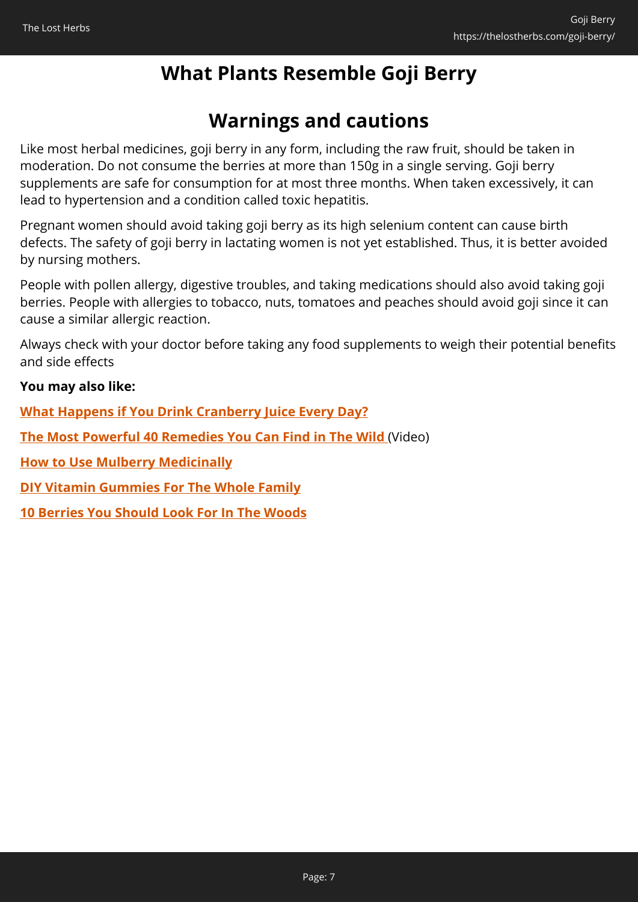## **What Plants Resemble Goji Berry**

## **Warnings and cautions**

Like most herbal medicines, goji berry in any form, including the raw fruit, should be taken in moderation. Do not consume the berries at more than 150g in a single serving. Goji berry supplements are safe for consumption for at most three months. When taken excessively, it can lead to hypertension and a condition called toxic hepatitis.

Pregnant women should avoid taking goji berry as its high selenium content can cause birth defects. The safety of goji berry in lactating women is not yet established. Thus, it is better avoided by nursing mothers.

People with pollen allergy, digestive troubles, and taking medications should also avoid taking goji berries. People with allergies to tobacco, nuts, tomatoes and peaches should avoid goji since it can cause a similar allergic reaction.

Always check with your doctor before taking any food supplements to weigh their potential benefits and side effects

#### **You may also like:**

**[What Happens if You Drink Cranberry Juice Every Day?](https://thelostherbs.com/what-happens-if-you-drink-cranberry-juice-every-day/)**

**[The Most Powerful 40 Remedies You Can Find in The Wild](https://hop.clickbank.net/?affiliate=easycellar&vendor=nogridpr&tid=C02GojiBerryNGP)** (Video)

**[How to Use Mulberry Medicinally](https://thelostherbs.com/how-to-use-mulberry-medicinally/)**

**[DIY Vitamin Gummies For The Whole Family](https://thelostherbs.com/diy-vitamin-gummies-for-the-whole-family/)**

**[10 Berries You Should Look For In The Woods](https://thelostherbs.com/10-berries-you-should-look-for-in-the-woods/)**